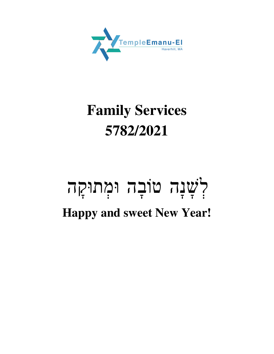

# **Family Services 5782/2021**

### לְשָׁנָה טוֹבָה וּמְתוּקָה  $\frac{1}{2}$  $\frac{1}{\sqrt{2}}$ **Happy and sweet New Year!**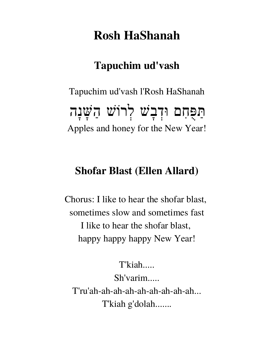# **Rosh HaShanah**

## **Tapuchim ud'vash**

Tapuchim ud'vash l'Rosh HaShanah נה שּׁ לרוֹשׁ ַה בשׁ ד פּ ִחם וּ ֻ ַתּ ֩׀<br>ׇֺ֧ׅ֢֪֪֪ׅ֪֦֧֪ׅ֧֪ׅ֦֧֧֦֧֧֦֧ׅ֓֘֓֘֘֓֡֡֬֓֬֘֓֡֓֡֓֡֬֓֩֓֡֟֓֡֬֩֩֕֓֜֓֩֩ ָ  $\frac{1}{2}$ <u>ך</u> ׀<br>֧֧֧֧֧֧֧֧֧֧֧֧֧֧֧֧֧֓֓֓֓֓֓֓֓֓֓֓֓֓֓֓֓֓֓֝֓֓֓֩֓֓֝֩֩֓֓֝֓֩֓֓֝֓֩֩֓֓֩֩֩֓֓֩֩֓֓֝֩֩֩֓֝֩֩֩֓֝֩֩֩֓֩֩֩֓֝ Apples and honey for the New Year!

### **Shofar Blast (Ellen Allard)**

Chorus: I like to hear the shofar blast, sometimes slow and sometimes fast I like to hear the shofar blast, happy happy happy New Year!

T'kiah..... Sh'varim..... T'ru'ah-ah-ah-ah-ah-ah-ah-ah-ah... T'kiah g'dolah.......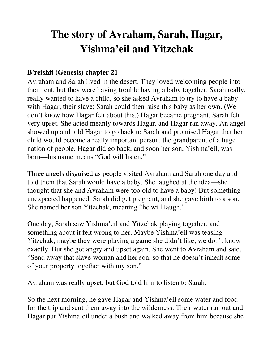## **The story of Avraham, Sarah, Hagar, Yishma'eil and Yitzchak**

#### **B'reishit (Genesis) chapter 21**

Avraham and Sarah lived in the desert. They loved welcoming people into their tent, but they were having trouble having a baby together. Sarah really, really wanted to have a child, so she asked Avraham to try to have a baby with Hagar, their slave; Sarah could then raise this baby as her own. (We don't know how Hagar felt about this.) Hagar became pregnant. Sarah felt very upset. She acted meanly towards Hagar, and Hagar ran away. An angel showed up and told Hagar to go back to Sarah and promised Hagar that her child would become a really important person, the grandparent of a huge nation of people. Hagar did go back, and soon her son, Yishma'eil, was born—his name means "God will listen."

Three angels disguised as people visited Avraham and Sarah one day and told them that Sarah would have a baby. She laughed at the idea—she thought that she and Avraham were too old to have a baby! But something unexpected happened: Sarah did get pregnant, and she gave birth to a son. She named her son Yitzchak, meaning "he will laugh."

One day, Sarah saw Yishma'eil and Yitzchak playing together, and something about it felt wrong to her. Maybe Yishma'eil was teasing Yitzchak; maybe they were playing a game she didn't like; we don't know exactly. But she got angry and upset again. She went to Avraham and said, "Send away that slave-woman and her son, so that he doesn't inherit some of your property together with my son."

Avraham was really upset, but God told him to listen to Sarah.

So the next morning, he gave Hagar and Yishma'eil some water and food for the trip and sent them away into the wilderness. Their water ran out and Hagar put Yishma'eil under a bush and walked away from him because she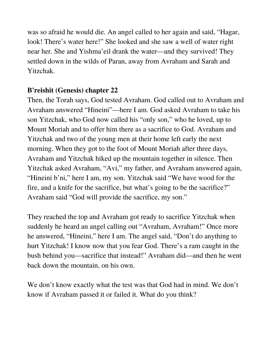was so afraid he would die. An angel called to her again and said, "Hagar, look! There's water here!" She looked and she saw a well of water right near her. She and Yishma'eil drank the water—and they survived! They settled down in the wilds of Paran, away from Avraham and Sarah and Yitzchak.

#### **B'reishit (Genesis) chapter 22**

Then, the Torah says, God tested Avraham. God called out to Avraham and Avraham answered "Hineini"—here I am. God asked Avraham to take his son Yitzchak, who God now called his "only son," who he loved, up to Mount Moriah and to offer him there as a sacrifice to God. Avraham and Yitzchak and two of the young men at their home left early the next morning. When they got to the foot of Mount Moriah after three days, Avraham and Yitzchak hiked up the mountain together in silence. Then Yitzchak asked Avraham, "Avi," my father, and Avraham answered again, "Hineini b'ni," here I am, my son. Yitzchak said "We have wood for the fire, and a knife for the sacrifice, but what's going to be the sacrifice?" Avraham said "God will provide the sacrifice, my son."

They reached the top and Avraham got ready to sacrifice Yitzchak when suddenly he heard an angel calling out "Avraham, Avraham!" Once more he answered, "Hineini," here I am. The angel said, "Don't do anything to hurt Yitzchak! I know now that you fear God. There's a ram caught in the bush behind you—sacrifice that instead!" Avraham did—and then he went back down the mountain, on his own.

We don't know exactly what the test was that God had in mind. We don't know if Avraham passed it or failed it. What do you think?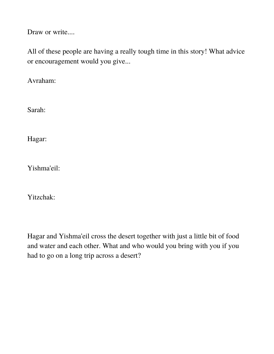Draw or write....

All of these people are having a really tough time in this story! What advice or encouragement would you give...

Avraham:

Sarah:

Hagar:

Yishma'eil:

Yitzchak:

Hagar and Yishma'eil cross the desert together with just a little bit of food and water and each other. What and who would you bring with you if you had to go on a long trip across a desert?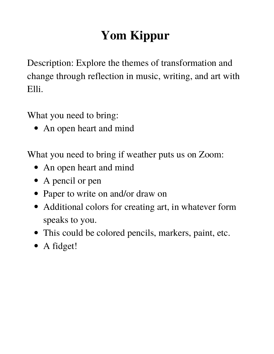# **Yom Kippur**

Description: Explore the themes of transformation and change through reflection in music, writing, and art with Elli.

What you need to bring:

• An open heart and mind

What you need to bring if weather puts us on Zoom:

- An open heart and mind
- A pencil or pen
- Paper to write on and/or draw on
- Additional colors for creating art, in whatever form speaks to you.
- This could be colored pencils, markers, paint, etc.
- A fidget!